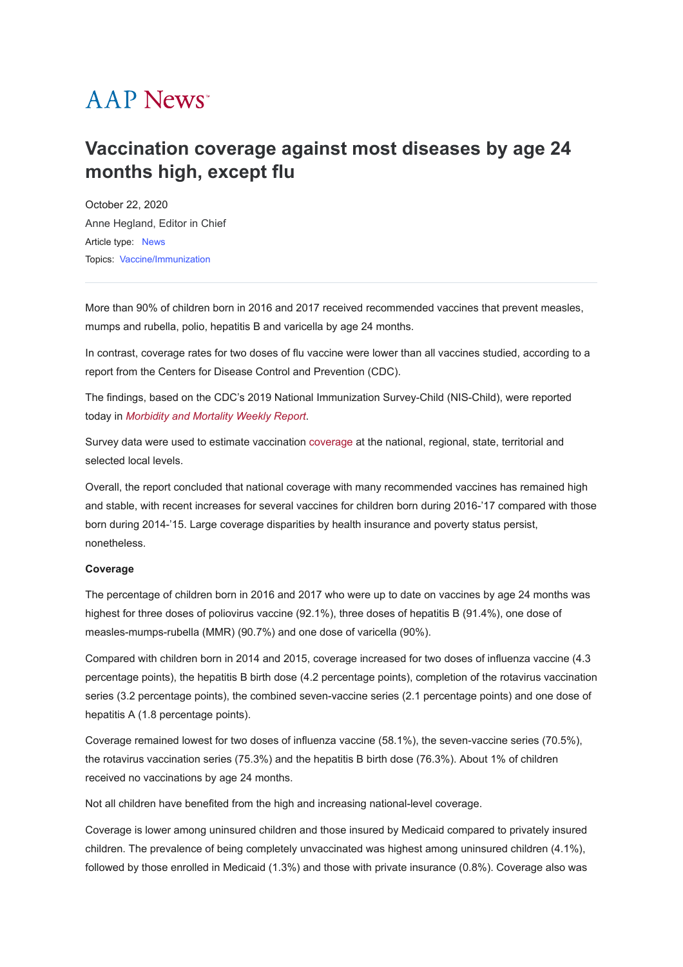# **AAP News**<sup>\*</sup>

# **Vaccination coverage against most diseases by age 24 months high, except flu**

October 22, 2020 [Anne Hegland, Editor in Chief](javascript:;) Article type: [News](https://publications.aap.org/aapnews/search-results?f_ArticleTypeDisplayName=News&fl_SiteID=1000011) Topics: [Vaccine/Immunization](https://publications.aap.org/aapnews/search-results?f_FacetCategoryIDs_1=309&fl_SiteID=1000011)

More than 90% of children born in 2016 and 2017 received recommended vaccines that prevent measles, mumps and rubella, polio, hepatitis B and varicella by age 24 months.

In contrast, coverage rates for two doses of flu vaccine were lower than all vaccines studied, according to a report from the Centers for Disease Control and Prevention (CDC).

The findings, based on the CDC's 2019 National Immunization Survey-Child (NIS-Child), were reported today in *[Morbidity and Mortality Weekly Report](https://nam02.safelinks.protection.outlook.com/?url=https%3A%2F%2Fwww.cdc.gov%2Fmmwr%2Fvolumes%2F69%2Fwr%2Fmm6942a1.htm%3Fs_cid%3Dmm6942a1_w&data=04%7C01%7CDBright%40aap.org%7Cb1643789a4244799cc4c08d875e4bfa6%7C686a5effab4f4bad8f3a22a2632445b9%7C0%7C1%7C637388972650047644%7CUnknown%7CTWFpbGZsb3d8eyJWIjoiMC4wLjAwMDAiLCJQIjoiV2luMzIiLCJBTiI6Ik1haWwiLCJXVCI6Mn0%3D%7C1000&sdata=3ajvvhuXVrUY5D4vzGYhzjjZhV1S6bndu4xSbZhHtyU%3D&reserved=0)*.

Survey data were used to estimate vaccination [coverage](https://www.cdc.gov/vaccines/imz-managers/coverage/childvaxview/data-reports/index.html) at the national, regional, state, territorial and selected local levels.

Overall, the report concluded that national coverage with many recommended vaccines has remained high and stable, with recent increases for several vaccines for children born during 2016-'17 compared with those born during 2014-'15. Large coverage disparities by health insurance and poverty status persist, nonetheless.

#### **Coverage**

The percentage of children born in 2016 and 2017 who were up to date on vaccines by age 24 months was highest for three doses of poliovirus vaccine (92.1%), three doses of hepatitis B (91.4%), one dose of measles-mumps-rubella (MMR) (90.7%) and one dose of varicella (90%).

Compared with children born in 2014 and 2015, coverage increased for two doses of influenza vaccine (4.3 percentage points), the hepatitis B birth dose (4.2 percentage points), completion of the rotavirus vaccination series (3.2 percentage points), the combined seven-vaccine series (2.1 percentage points) and one dose of hepatitis A (1.8 percentage points).

Coverage remained lowest for two doses of influenza vaccine (58.1%), the seven-vaccine series (70.5%), the rotavirus vaccination series (75.3%) and the hepatitis B birth dose (76.3%). About 1% of children received no vaccinations by age 24 months.

Not all children have benefited from the high and increasing national-level coverage.

Coverage is lower among uninsured children and those insured by Medicaid compared to privately insured children. The prevalence of being completely unvaccinated was highest among uninsured children (4.1%), followed by those enrolled in Medicaid (1.3%) and those with private insurance (0.8%). Coverage also was